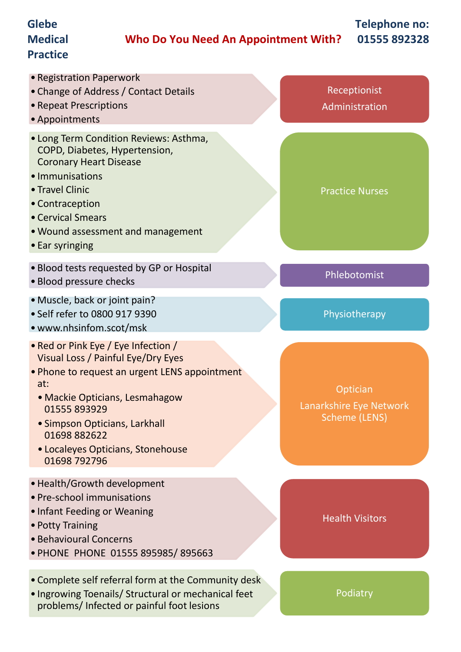#### **Glebe Medical Practice Who Do You Need An Appointment With? Telephone no: 01555 892328** • Registration Paperwork • Change of Address / Contact Details • Repeat Prescriptions •Appointments Receptionist Administration

#### • Long Term Condition Reviews: Asthma, COPD, Diabetes, Hypertension, Coronary Heart Disease

- Immunisations
- Travel Clinic
- Contraception
- Cervical Smears
- •Wound assessment and management
- Ear syringing
- Blood tests requested by GP or Hospital
- Blood pressure checks Phlebotomist
- •Muscle, back or joint pain?
- Self refer to 0800 917 9390
- www.nhsinfom.scot/msk
- Red or Pink Eye / Eye Infection / Visual Loss / Painful Eye/Dry Eyes
- Phone to request an urgent LENS appointment at:
	- Mackie Opticians, Lesmahagow 01555 893929
	- Simpson Opticians, Larkhall 01698 882622
	- Localeyes Opticians, Stonehouse 01698 792796
- •Health/Growth development
- Pre-school immunisations
- Infant Feeding or Weaning
- Potty Training
- Behavioural Concerns
- PHONE PHONE 01555 895985/ 895663
- Complete self referral form at the Community desk
- Ingrowing Toenails/ Structural or mechanical feet problems/ Infected or painful foot lesions

**Optician** Lanarkshire Eye Network Scheme (LENS)

Physiotherapy

Practice Nurses

Health Visitors

Podiatry